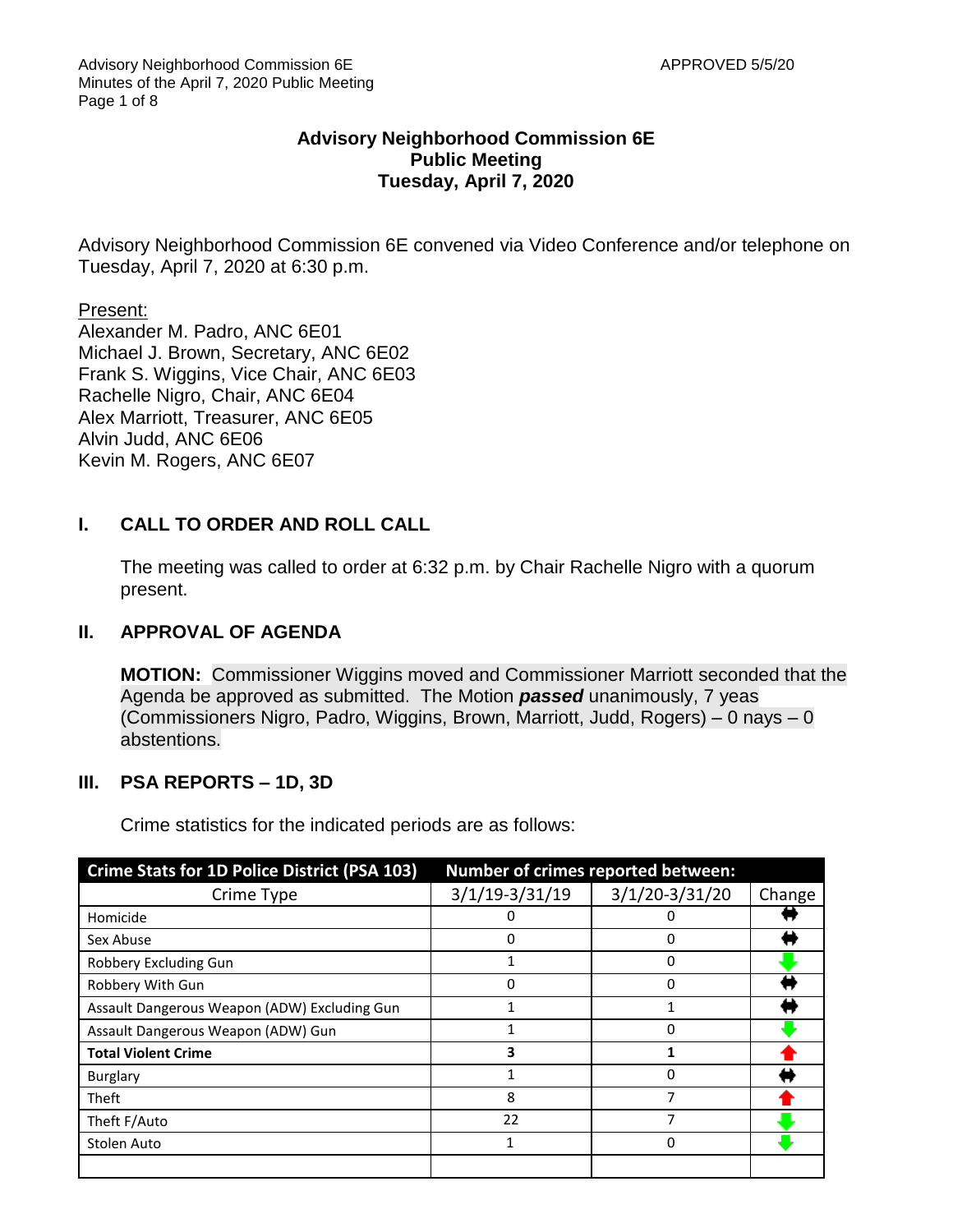### **Advisory Neighborhood Commission 6E Public Meeting Tuesday, April 7, 2020**

Advisory Neighborhood Commission 6E convened via Video Conference and/or telephone on Tuesday, April 7, 2020 at 6:30 p.m.

Present:

Alexander M. Padro, ANC 6E01 Michael J. Brown, Secretary, ANC 6E02 Frank S. Wiggins, Vice Chair, ANC 6E03 Rachelle Nigro, Chair, ANC 6E04 Alex Marriott, Treasurer, ANC 6E05 Alvin Judd, ANC 6E06 Kevin M. Rogers, ANC 6E07

# **I. CALL TO ORDER AND ROLL CALL**

The meeting was called to order at 6:32 p.m. by Chair Rachelle Nigro with a quorum present.

# **II. APPROVAL OF AGENDA**

**MOTION:** Commissioner Wiggins moved and Commissioner Marriott seconded that the Agenda be approved as submitted. The Motion *passed* unanimously, 7 yeas (Commissioners Nigro, Padro, Wiggins, Brown, Marriott, Judd, Rogers) – 0 nays – 0 abstentions.

# **III. PSA REPORTS – 1D, 3D**

Crime statistics for the indicated periods are as follows:

| <b>Crime Stats for 1D Police District (PSA 103)</b> | Number of crimes reported between: |                  |        |  |
|-----------------------------------------------------|------------------------------------|------------------|--------|--|
| Crime Type                                          | $3/1/19-3/31/19$                   | $3/1/20-3/31/20$ | Change |  |
| Homicide                                            | 0                                  | 0                |        |  |
| Sex Abuse                                           | 0                                  | 0                |        |  |
| Robbery Excluding Gun                               |                                    | 0                |        |  |
| Robbery With Gun                                    | O                                  | 0                |        |  |
| Assault Dangerous Weapon (ADW) Excluding Gun        |                                    |                  |        |  |
| Assault Dangerous Weapon (ADW) Gun                  |                                    | $\Omega$         |        |  |
| <b>Total Violent Crime</b>                          | 3                                  |                  |        |  |
| <b>Burglary</b>                                     | 1                                  | 0                |        |  |
| Theft                                               | 8                                  | 7                |        |  |
| Theft F/Auto                                        | 22                                 |                  |        |  |
| Stolen Auto                                         |                                    | 0                |        |  |
|                                                     |                                    |                  |        |  |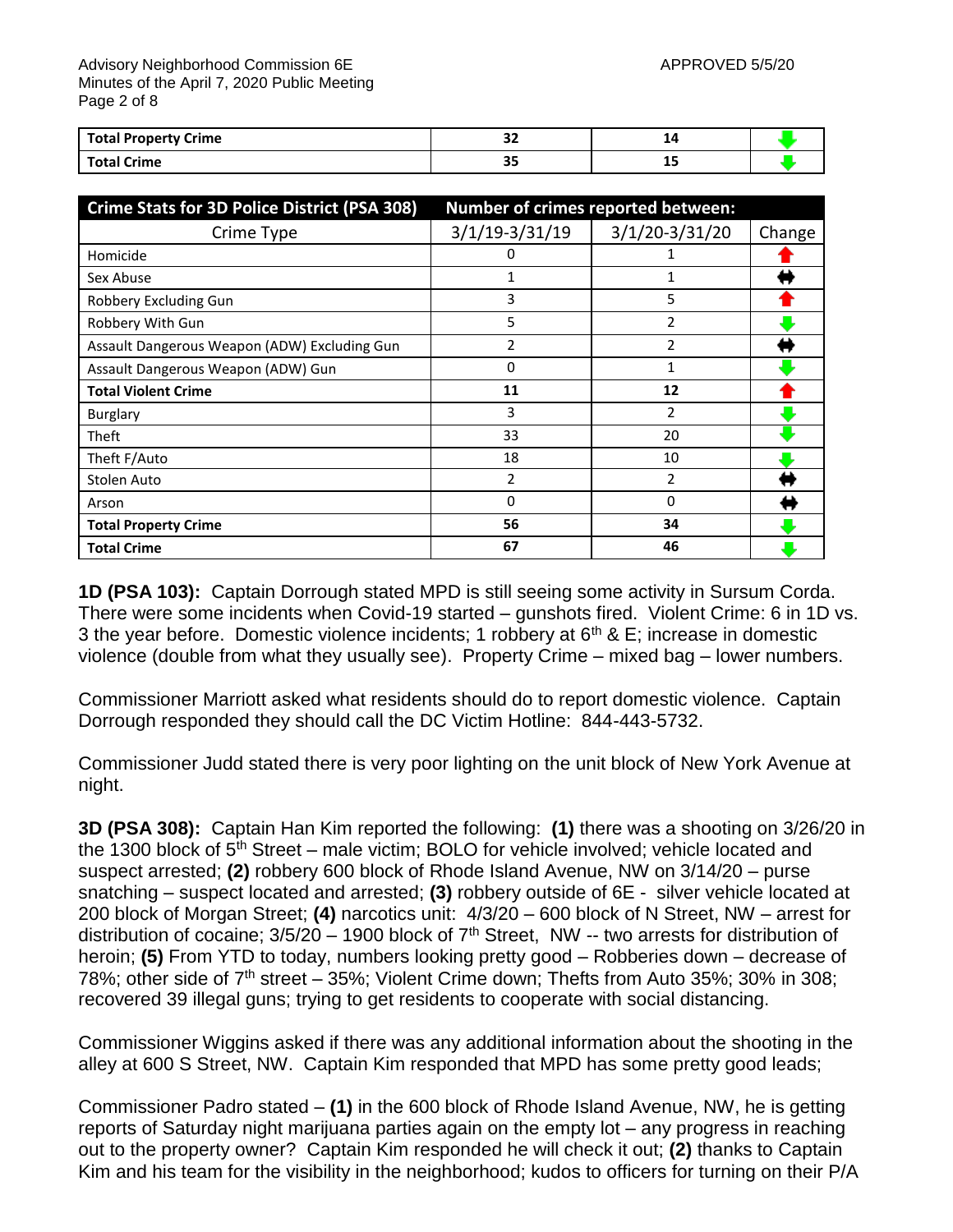Advisory Neighborhood Commission 6E APPROVED 5/5/20 Minutes of the April 7, 2020 Public Meeting Page 2 of 8

| <b>Total Property Crime</b> | $\sim$<br>-- |    |  |
|-----------------------------|--------------|----|--|
| <b>Total Crime</b>          | --<br>--     | -- |  |

| <b>Crime Stats for 3D Police District (PSA 308)</b> | Number of crimes reported between: |                  |        |  |
|-----------------------------------------------------|------------------------------------|------------------|--------|--|
| Crime Type                                          | $3/1/19-3/31/19$                   | $3/1/20-3/31/20$ | Change |  |
| Homicide                                            | 0                                  |                  |        |  |
| Sex Abuse                                           |                                    |                  |        |  |
| Robbery Excluding Gun                               | 3                                  | 5                |        |  |
| Robbery With Gun                                    | 5                                  | 2                |        |  |
| Assault Dangerous Weapon (ADW) Excluding Gun        | 2                                  | $\mathfrak z$    |        |  |
| Assault Dangerous Weapon (ADW) Gun                  | 0                                  |                  |        |  |
| <b>Total Violent Crime</b>                          | 11                                 | 12               |        |  |
| <b>Burglary</b>                                     | 3                                  | 2                |        |  |
| Theft                                               | 33                                 | 20               |        |  |
| Theft F/Auto                                        | 18                                 | 10               |        |  |
| Stolen Auto                                         | 2                                  | $\mathfrak z$    |        |  |
| Arson                                               | 0                                  | 0                |        |  |
| <b>Total Property Crime</b>                         | 56                                 | 34               |        |  |
| <b>Total Crime</b>                                  | 67                                 | 46               |        |  |

**1D (PSA 103):** Captain Dorrough stated MPD is still seeing some activity in Sursum Corda. There were some incidents when Covid-19 started – gunshots fired. Violent Crime: 6 in 1D vs. 3 the year before. Domestic violence incidents; 1 robbery at  $6<sup>th</sup>$  & E; increase in domestic violence (double from what they usually see). Property Crime – mixed bag – lower numbers.

Commissioner Marriott asked what residents should do to report domestic violence. Captain Dorrough responded they should call the DC Victim Hotline: 844-443-5732.

Commissioner Judd stated there is very poor lighting on the unit block of New York Avenue at night.

**3D (PSA 308):** Captain Han Kim reported the following: **(1)** there was a shooting on 3/26/20 in the 1300 block of  $5<sup>th</sup>$  Street – male victim; BOLO for vehicle involved; vehicle located and suspect arrested; **(2)** robbery 600 block of Rhode Island Avenue, NW on 3/14/20 – purse snatching – suspect located and arrested; **(3)** robbery outside of 6E - silver vehicle located at 200 block of Morgan Street; **(4)** narcotics unit: 4/3/20 – 600 block of N Street, NW – arrest for distribution of cocaine;  $3/5/20 - 1900$  block of  $7<sup>th</sup>$  Street, NW -- two arrests for distribution of heroin; **(5)** From YTD to today, numbers looking pretty good – Robberies down – decrease of 78%; other side of  $7<sup>th</sup>$  street – 35%; Violent Crime down; Thefts from Auto 35%; 30% in 308; recovered 39 illegal guns; trying to get residents to cooperate with social distancing.

Commissioner Wiggins asked if there was any additional information about the shooting in the alley at 600 S Street, NW. Captain Kim responded that MPD has some pretty good leads;

Commissioner Padro stated – **(1)** in the 600 block of Rhode Island Avenue, NW, he is getting reports of Saturday night marijuana parties again on the empty lot – any progress in reaching out to the property owner? Captain Kim responded he will check it out; **(2)** thanks to Captain Kim and his team for the visibility in the neighborhood; kudos to officers for turning on their P/A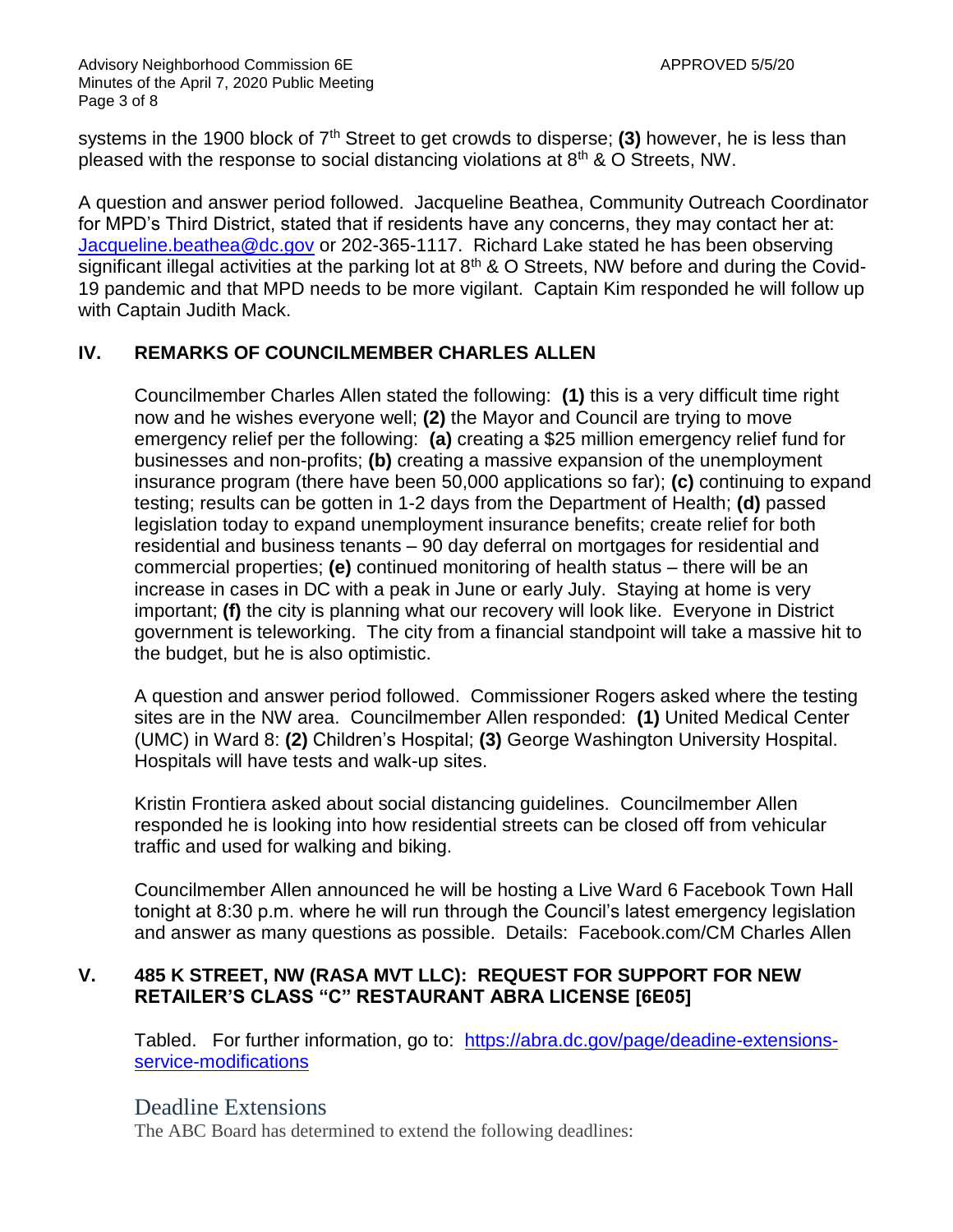Advisory Neighborhood Commission 6E APPROVED 5/5/20 Minutes of the April 7, 2020 Public Meeting Page 3 of 8

systems in the 1900 block of 7<sup>th</sup> Street to get crowds to disperse; (3) however, he is less than pleased with the response to social distancing violations at 8th & O Streets, NW.

A question and answer period followed. Jacqueline Beathea, Community Outreach Coordinator for MPD's Third District, stated that if residents have any concerns, they may contact her at: [Jacqueline.beathea@dc.gov](mailto:Jacqueline.beathea@dc.gov) or 202-365-1117. Richard Lake stated he has been observing significant illegal activities at the parking lot at  $8<sup>th</sup>$  & O Streets, NW before and during the Covid-19 pandemic and that MPD needs to be more vigilant. Captain Kim responded he will follow up with Captain Judith Mack.

# **IV. REMARKS OF COUNCILMEMBER CHARLES ALLEN**

Councilmember Charles Allen stated the following: **(1)** this is a very difficult time right now and he wishes everyone well; **(2)** the Mayor and Council are trying to move emergency relief per the following: **(a)** creating a \$25 million emergency relief fund for businesses and non-profits; **(b)** creating a massive expansion of the unemployment insurance program (there have been 50,000 applications so far); **(c)** continuing to expand testing; results can be gotten in 1-2 days from the Department of Health; **(d)** passed legislation today to expand unemployment insurance benefits; create relief for both residential and business tenants – 90 day deferral on mortgages for residential and commercial properties; **(e)** continued monitoring of health status – there will be an increase in cases in DC with a peak in June or early July. Staying at home is very important; **(f)** the city is planning what our recovery will look like. Everyone in District government is teleworking. The city from a financial standpoint will take a massive hit to the budget, but he is also optimistic.

A question and answer period followed. Commissioner Rogers asked where the testing sites are in the NW area. Councilmember Allen responded: **(1)** United Medical Center (UMC) in Ward 8: **(2)** Children's Hospital; **(3)** George Washington University Hospital. Hospitals will have tests and walk-up sites.

Kristin Frontiera asked about social distancing guidelines. Councilmember Allen responded he is looking into how residential streets can be closed off from vehicular traffic and used for walking and biking.

Councilmember Allen announced he will be hosting a Live Ward 6 Facebook Town Hall tonight at 8:30 p.m. where he will run through the Council's latest emergency legislation and answer as many questions as possible. Details: Facebook.com/CM Charles Allen

## **V. 485 K STREET, NW (RASA MVT LLC): REQUEST FOR SUPPORT FOR NEW RETAILER'S CLASS "C" RESTAURANT ABRA LICENSE [6E05]**

Tabled. For further information, go to: [https://abra.dc.gov/page/deadine-extensions](https://abra.dc.gov/page/deadine-extensions-service-modifications)[service-modifications](https://abra.dc.gov/page/deadine-extensions-service-modifications) 

# Deadline Extensions

The ABC Board has determined to extend the following deadlines: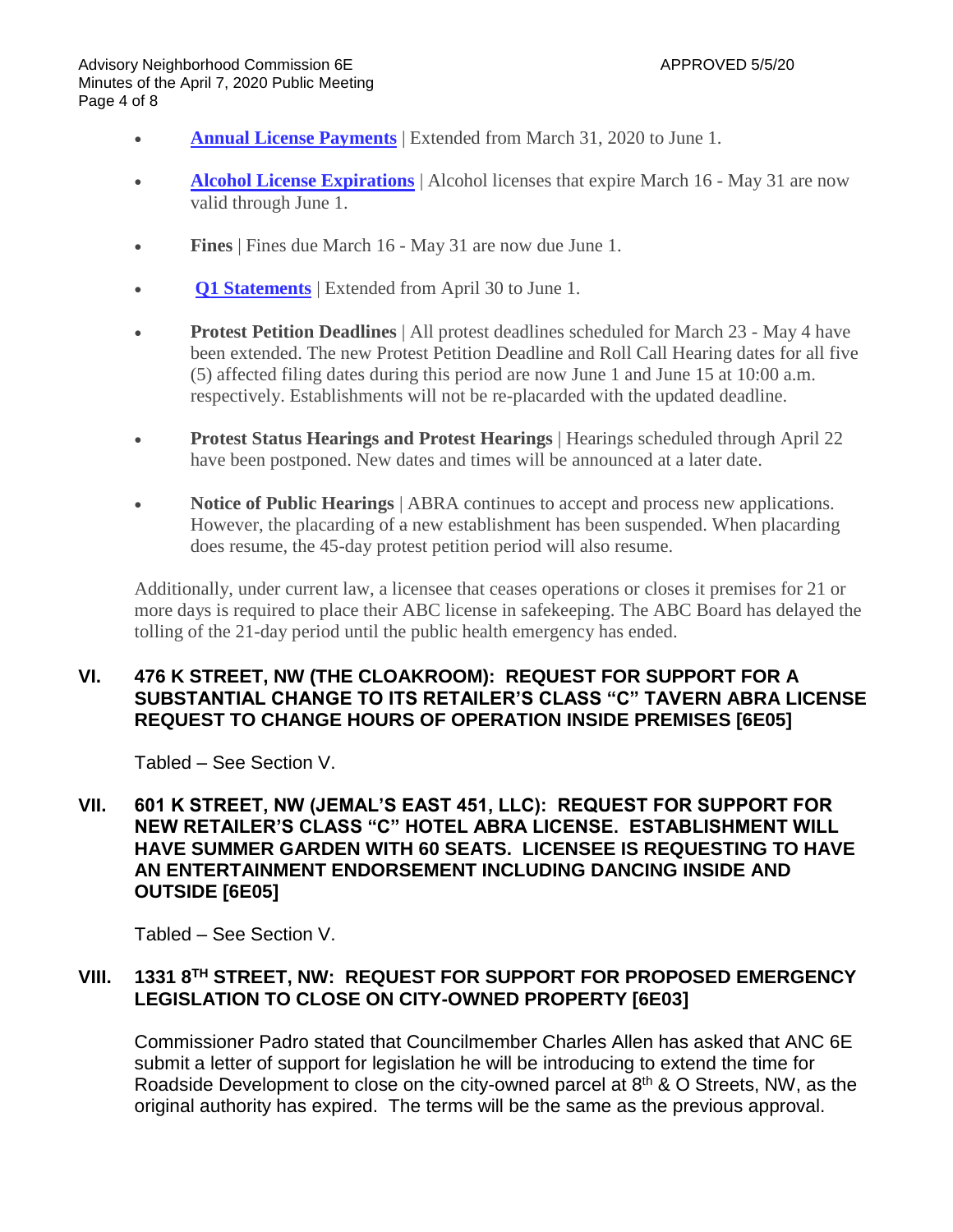Advisory Neighborhood Commission 6E APPROVED 5/5/20 Minutes of the April 7, 2020 Public Meeting Page 4 of 8

- **Annual License [Payments](https://abra.dc.gov/node/612652)** | Extended from March 31, 2020 to June 1.
- **Alcohol License [Expirations](https://abra.dc.gov/node/612652)** | Alcohol licenses that expire March 16 May 31 are now valid through June 1.
- **Fines** | Fines due March 16 May 31 are now due June 1.
- **Q1 [Statements](https://abra.dc.gov/node/676962)** | Extended from April 30 to June 1.
- **Protest Petition Deadlines** | All protest deadlines scheduled for March 23 May 4 have been extended. The new Protest Petition Deadline and Roll Call Hearing dates for all five (5) affected filing dates during this period are now June 1 and June 15 at 10:00 a.m. respectively. Establishments will not be re-placarded with the updated deadline.
- **Protest Status Hearings and Protest Hearings** | Hearings scheduled through April 22 have been postponed. New dates and times will be announced at a later date.
- **Notice of Public Hearings** | ABRA continues to accept and process new applications. However, the placarding of a new establishment has been suspended. When placarding does resume, the 45-day protest petition period will also resume.

Additionally, under current law, a licensee that ceases operations or closes it premises for 21 or more days is required to place their ABC license in safekeeping. The ABC Board has delayed the tolling of the 21-day period until the public health emergency has ended.

### **VI. 476 K STREET, NW (THE CLOAKROOM): REQUEST FOR SUPPORT FOR A SUBSTANTIAL CHANGE TO ITS RETAILER'S CLASS "C" TAVERN ABRA LICENSE REQUEST TO CHANGE HOURS OF OPERATION INSIDE PREMISES [6E05]**

Tabled – See Section V.

### **VII. 601 K STREET, NW (JEMAL'S EAST 451, LLC): REQUEST FOR SUPPORT FOR NEW RETAILER'S CLASS "C" HOTEL ABRA LICENSE. ESTABLISHMENT WILL HAVE SUMMER GARDEN WITH 60 SEATS. LICENSEE IS REQUESTING TO HAVE AN ENTERTAINMENT ENDORSEMENT INCLUDING DANCING INSIDE AND OUTSIDE [6E05]**

Tabled – See Section V.

## **VIII. 1331 8 TH STREET, NW: REQUEST FOR SUPPORT FOR PROPOSED EMERGENCY LEGISLATION TO CLOSE ON CITY-OWNED PROPERTY [6E03]**

Commissioner Padro stated that Councilmember Charles Allen has asked that ANC 6E submit a letter of support for legislation he will be introducing to extend the time for Roadside Development to close on the city-owned parcel at  $8<sup>th</sup>$  & O Streets, NW, as the original authority has expired. The terms will be the same as the previous approval.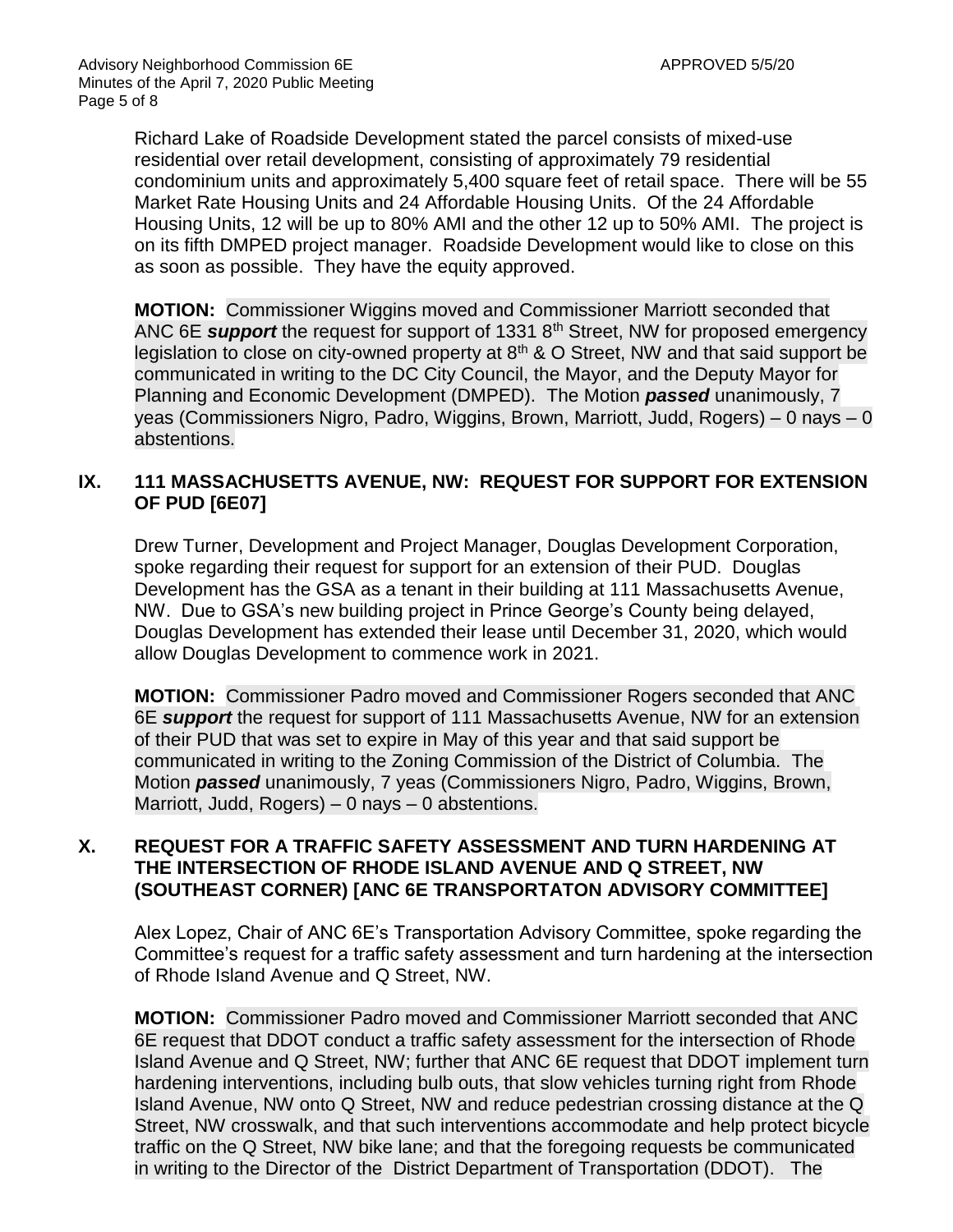Richard Lake of Roadside Development stated the parcel consists of mixed-use residential over retail development, consisting of approximately 79 residential condominium units and approximately 5,400 square feet of retail space. There will be 55 Market Rate Housing Units and 24 Affordable Housing Units. Of the 24 Affordable Housing Units, 12 will be up to 80% AMI and the other 12 up to 50% AMI. The project is on its fifth DMPED project manager. Roadside Development would like to close on this as soon as possible. They have the equity approved.

**MOTION:** Commissioner Wiggins moved and Commissioner Marriott seconded that ANC 6E *support* the request for support of 1331 8<sup>th</sup> Street, NW for proposed emergency legislation to close on city-owned property at 8<sup>th</sup> & O Street. NW and that said support be communicated in writing to the DC City Council, the Mayor, and the Deputy Mayor for Planning and Economic Development (DMPED). The Motion *passed* unanimously, 7 yeas (Commissioners Nigro, Padro, Wiggins, Brown, Marriott, Judd, Rogers) – 0 nays – 0 abstentions.

# **IX. 111 MASSACHUSETTS AVENUE, NW: REQUEST FOR SUPPORT FOR EXTENSION OF PUD [6E07]**

Drew Turner, Development and Project Manager, Douglas Development Corporation, spoke regarding their request for support for an extension of their PUD. Douglas Development has the GSA as a tenant in their building at 111 Massachusetts Avenue, NW. Due to GSA's new building project in Prince George's County being delayed, Douglas Development has extended their lease until December 31, 2020, which would allow Douglas Development to commence work in 2021.

**MOTION:** Commissioner Padro moved and Commissioner Rogers seconded that ANC 6E *support* the request for support of 111 Massachusetts Avenue, NW for an extension of their PUD that was set to expire in May of this year and that said support be communicated in writing to the Zoning Commission of the District of Columbia. The Motion *passed* unanimously, 7 yeas (Commissioners Nigro, Padro, Wiggins, Brown, Marriott, Judd, Rogers) – 0 nays – 0 abstentions.

## **X. REQUEST FOR A TRAFFIC SAFETY ASSESSMENT AND TURN HARDENING AT THE INTERSECTION OF RHODE ISLAND AVENUE AND Q STREET, NW (SOUTHEAST CORNER) [ANC 6E TRANSPORTATON ADVISORY COMMITTEE]**

Alex Lopez, Chair of ANC 6E's Transportation Advisory Committee, spoke regarding the Committee's request for a traffic safety assessment and turn hardening at the intersection of Rhode Island Avenue and Q Street, NW.

**MOTION:** Commissioner Padro moved and Commissioner Marriott seconded that ANC 6E request that DDOT conduct a traffic safety assessment for the intersection of Rhode Island Avenue and Q Street, NW; further that ANC 6E request that DDOT implement turn hardening interventions, including bulb outs, that slow vehicles turning right from Rhode Island Avenue, NW onto Q Street, NW and reduce pedestrian crossing distance at the Q Street, NW crosswalk, and that such interventions accommodate and help protect bicycle traffic on the Q Street, NW bike lane; and that the foregoing requests be communicated in writing to the Director of the District Department of Transportation (DDOT). The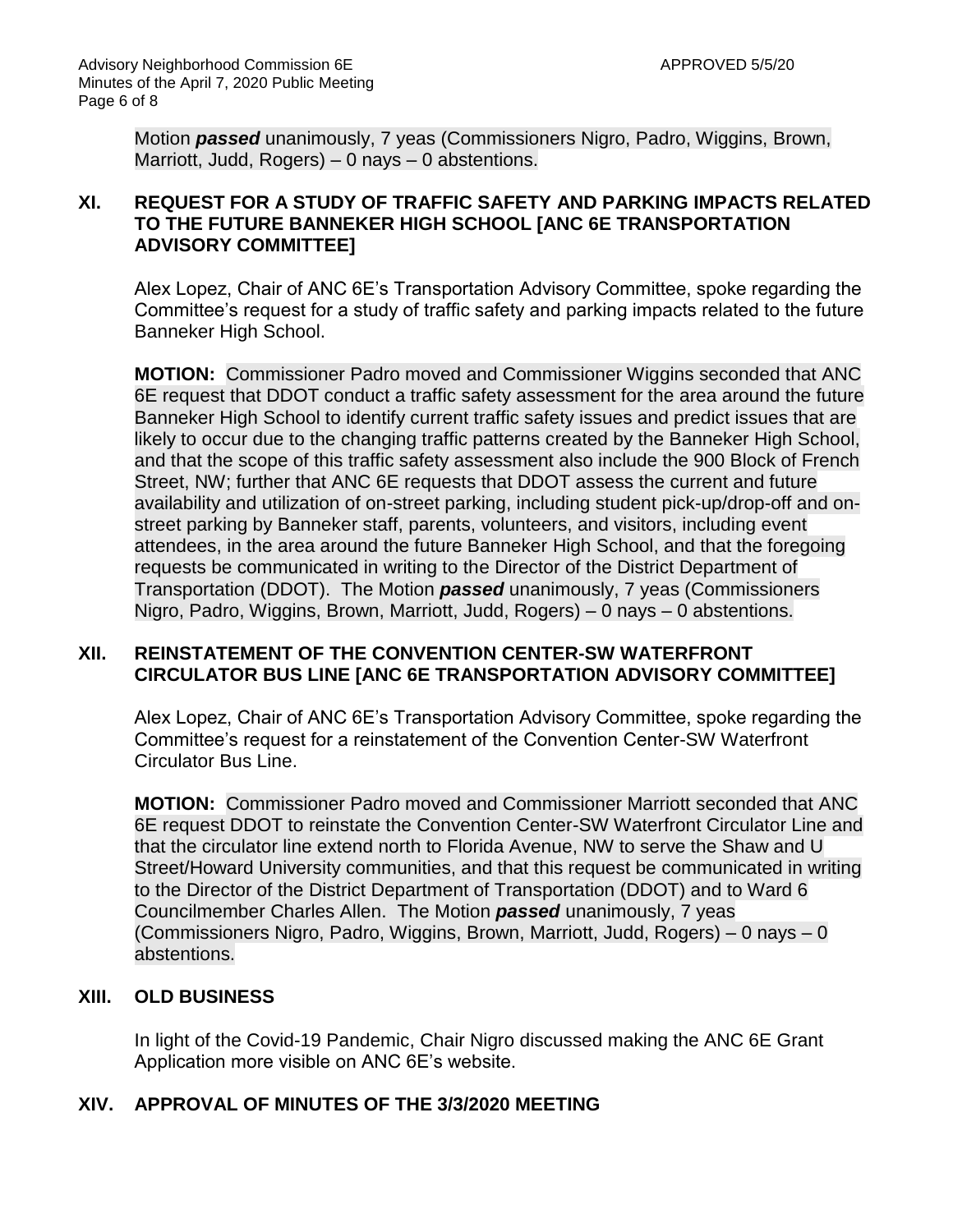Motion *passed* unanimously, 7 yeas (Commissioners Nigro, Padro, Wiggins, Brown, Marriott, Judd, Rogers) – 0 nays – 0 abstentions.

### **XI. REQUEST FOR A STUDY OF TRAFFIC SAFETY AND PARKING IMPACTS RELATED TO THE FUTURE BANNEKER HIGH SCHOOL [ANC 6E TRANSPORTATION ADVISORY COMMITTEE]**

Alex Lopez, Chair of ANC 6E's Transportation Advisory Committee, spoke regarding the Committee's request for a study of traffic safety and parking impacts related to the future Banneker High School.

**MOTION:** Commissioner Padro moved and Commissioner Wiggins seconded that ANC 6E request that DDOT conduct a traffic safety assessment for the area around the future Banneker High School to identify current traffic safety issues and predict issues that are likely to occur due to the changing traffic patterns created by the Banneker High School, and that the scope of this traffic safety assessment also include the 900 Block of French Street, NW; further that ANC 6E requests that DDOT assess the current and future availability and utilization of on-street parking, including student pick-up/drop-off and onstreet parking by Banneker staff, parents, volunteers, and visitors, including event attendees, in the area around the future Banneker High School, and that the foregoing requests be communicated in writing to the Director of the District Department of Transportation (DDOT). The Motion *passed* unanimously, 7 yeas (Commissioners Nigro, Padro, Wiggins, Brown, Marriott, Judd, Rogers) – 0 nays – 0 abstentions.

### **XII. REINSTATEMENT OF THE CONVENTION CENTER-SW WATERFRONT CIRCULATOR BUS LINE [ANC 6E TRANSPORTATION ADVISORY COMMITTEE]**

Alex Lopez, Chair of ANC 6E's Transportation Advisory Committee, spoke regarding the Committee's request for a reinstatement of the Convention Center-SW Waterfront Circulator Bus Line.

**MOTION:** Commissioner Padro moved and Commissioner Marriott seconded that ANC 6E request DDOT to reinstate the Convention Center-SW Waterfront Circulator Line and that the circulator line extend north to Florida Avenue, NW to serve the Shaw and U Street/Howard University communities, and that this request be communicated in writing to the Director of the District Department of Transportation (DDOT) and to Ward 6 Councilmember Charles Allen. The Motion *passed* unanimously, 7 yeas (Commissioners Nigro, Padro, Wiggins, Brown, Marriott, Judd, Rogers) – 0 nays – 0 abstentions.

### **XIII. OLD BUSINESS**

In light of the Covid-19 Pandemic, Chair Nigro discussed making the ANC 6E Grant Application more visible on ANC 6E's website.

# **XIV. APPROVAL OF MINUTES OF THE 3/3/2020 MEETING**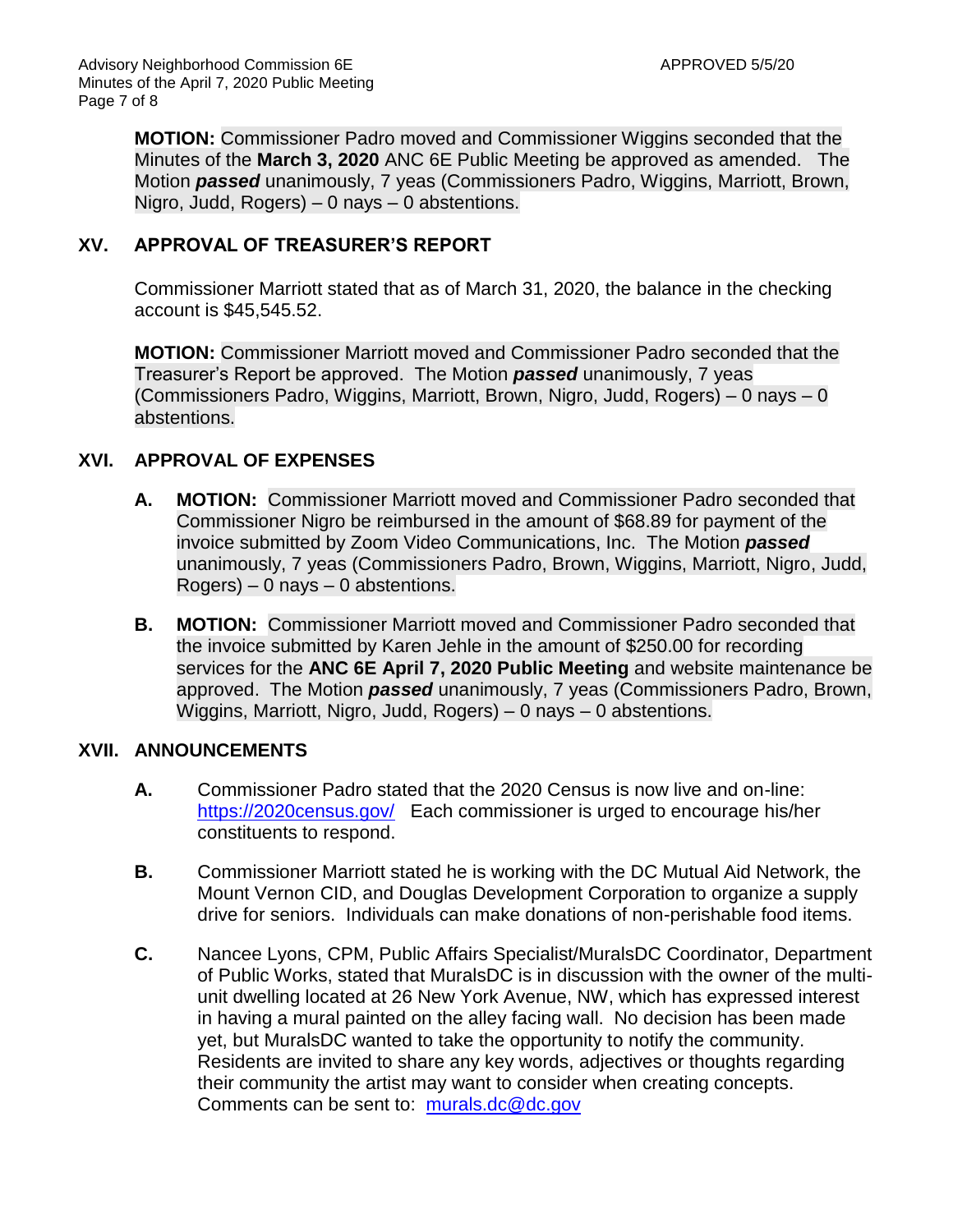**MOTION:** Commissioner Padro moved and Commissioner Wiggins seconded that the Minutes of the **March 3, 2020** ANC 6E Public Meeting be approved as amended. The Motion *passed* unanimously, 7 yeas (Commissioners Padro, Wiggins, Marriott, Brown, Nigro, Judd, Rogers) – 0 nays – 0 abstentions.

### **XV. APPROVAL OF TREASURER'S REPORT**

Commissioner Marriott stated that as of March 31, 2020, the balance in the checking account is \$45,545.52.

**MOTION:** Commissioner Marriott moved and Commissioner Padro seconded that the Treasurer's Report be approved. The Motion *passed* unanimously, 7 yeas (Commissioners Padro, Wiggins, Marriott, Brown, Nigro, Judd, Rogers) – 0 nays – 0 abstentions.

## **XVI. APPROVAL OF EXPENSES**

- **A. MOTION:** Commissioner Marriott moved and Commissioner Padro seconded that Commissioner Nigro be reimbursed in the amount of \$68.89 for payment of the invoice submitted by Zoom Video Communications, Inc. The Motion *passed* unanimously, 7 yeas (Commissioners Padro, Brown, Wiggins, Marriott, Nigro, Judd,  $Rogers$ ) – 0 nays – 0 abstentions.
- **B. MOTION:** Commissioner Marriott moved and Commissioner Padro seconded that the invoice submitted by Karen Jehle in the amount of \$250.00 for recording services for the **ANC 6E April 7, 2020 Public Meeting** and website maintenance be approved. The Motion *passed* unanimously, 7 yeas (Commissioners Padro, Brown, Wiggins, Marriott, Nigro, Judd, Rogers) – 0 nays – 0 abstentions.

### **XVII. ANNOUNCEMENTS**

- **A.** Commissioner Padro stated that the 2020 Census is now live and on-line: <https://2020census.gov/> Each commissioner is urged to encourage his/her constituents to respond.
- **B.** Commissioner Marriott stated he is working with the DC Mutual Aid Network, the Mount Vernon CID, and Douglas Development Corporation to organize a supply drive for seniors. Individuals can make donations of non-perishable food items.
- **C.** Nancee Lyons, CPM, Public Affairs Specialist/MuralsDC Coordinator, Department of Public Works, stated that MuralsDC is in discussion with the owner of the multiunit dwelling located at 26 New York Avenue, NW, which has expressed interest in having a mural painted on the alley facing wall. No decision has been made yet, but MuralsDC wanted to take the opportunity to notify the community. Residents are invited to share any key words, adjectives or thoughts regarding their community the artist may want to consider when creating concepts. Comments can be sent to: [murals.dc@dc.gov](mailto:murals.dc@dc.gov)